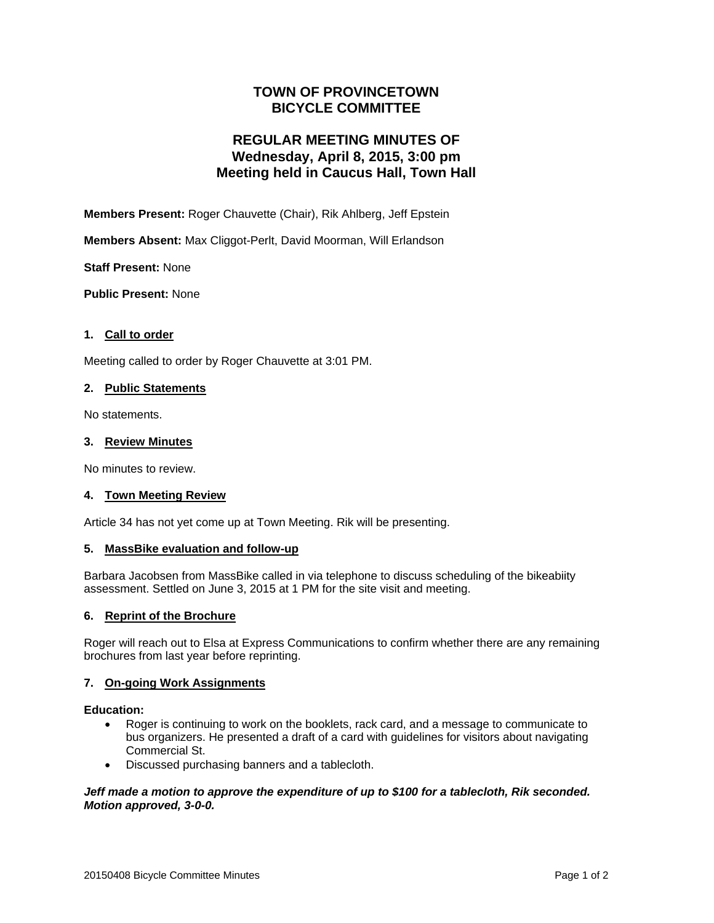# **TOWN OF PROVINCETOWN BICYCLE COMMITTEE**

# **REGULAR MEETING MINUTES OF Wednesday, April 8, 2015, 3:00 pm Meeting held in Caucus Hall, Town Hall**

**Members Present:** Roger Chauvette (Chair), Rik Ahlberg, Jeff Epstein

**Members Absent:** Max Cliggot-Perlt, David Moorman, Will Erlandson

**Staff Present:** None

**Public Present:** None

# **1. Call to order**

Meeting called to order by Roger Chauvette at 3:01 PM.

## **2. Public Statements**

No statements.

## **3. Review Minutes**

No minutes to review.

# **4. Town Meeting Review**

Article 34 has not yet come up at Town Meeting. Rik will be presenting.

#### **5. MassBike evaluation and follow-up**

Barbara Jacobsen from MassBike called in via telephone to discuss scheduling of the bikeabiity assessment. Settled on June 3, 2015 at 1 PM for the site visit and meeting.

## **6. Reprint of the Brochure**

Roger will reach out to Elsa at Express Communications to confirm whether there are any remaining brochures from last year before reprinting.

# **7. On-going Work Assignments**

#### **Education:**

- Roger is continuing to work on the booklets, rack card, and a message to communicate to bus organizers. He presented a draft of a card with guidelines for visitors about navigating Commercial St.
- Discussed purchasing banners and a tablecloth.

## *Jeff made a motion to approve the expenditure of up to \$100 for a tablecloth, Rik seconded. Motion approved, 3-0-0.*